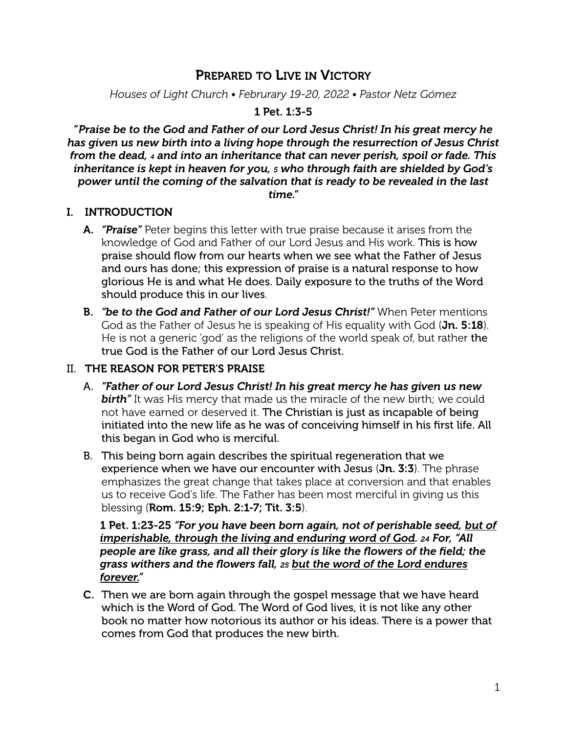# PREPARED TO LIVE IN VICTORY

*Houses of Light Church • Februrary 19-20, 2022 • Pastor Netz Gómez*

#### 1 Pet. 1:3-5

"*Praise be to the God and Father of our Lord Jesus Christ! In his great mercy he has given us new birth into a living hope through the resurrection of Jesus Christ from the dead, 4 and into an inheritance that can never perish, spoil or fade. This inheritance is kept in heaven for you, 5 who through faith are shielded by God's power until the coming of the salvation that is ready to be revealed in the last time."*

#### I. INTRODUCTION

- A. *"Praise"* Peter begins this letter with true praise because it arises from the knowledge of God and Father of our Lord Jesus and His work. This is how praise should flow from our hearts when we see what the Father of Jesus and ours has done; this expression of praise is a natural response to how glorious He is and what He does. Daily exposure to the truths of the Word should produce this in our lives.
- B. *"be to the God and Father of our Lord Jesus Christ!"* When Peter mentions God as the Father of Jesus he is speaking of His equality with God (Jn. 5:18). He is not a generic 'god' as the religions of the world speak of, but rather the true God is the Father of our Lord Jesus Christ.

#### II. THE REASON FOR PETER'S PRAISE

- A. *"Father of our Lord Jesus Christ! In his great mercy he has given us new*  **birth**" It was His mercy that made us the miracle of the new birth; we could not have earned or deserved it. The Christian is just as incapable of being initiated into the new life as he was of conceiving himself in his first life. All this began in God who is merciful.
- B. This being born again describes the spiritual regeneration that we experience when we have our encounter with Jesus (Jn. 3:3). The phrase emphasizes the great change that takes place at conversion and that enables us to receive God's life. The Father has been most merciful in giving us this blessing (Rom. 15:9; Eph. 2:1-7; Tit. 3:5).

1 Pet. 1:23-25 *"For you have been born again, not of perishable seed, but of imperishable, through the living and enduring word of God. 24 For, "All people are like grass, and all their glory is like the flowers of the field; the grass withers and the flowers fall, 25 but the word of the Lord endures forever."*

C. Then we are born again through the gospel message that we have heard which is the Word of God. The Word of God lives, it is not like any other book no matter how notorious its author or his ideas. There is a power that comes from God that produces the new birth.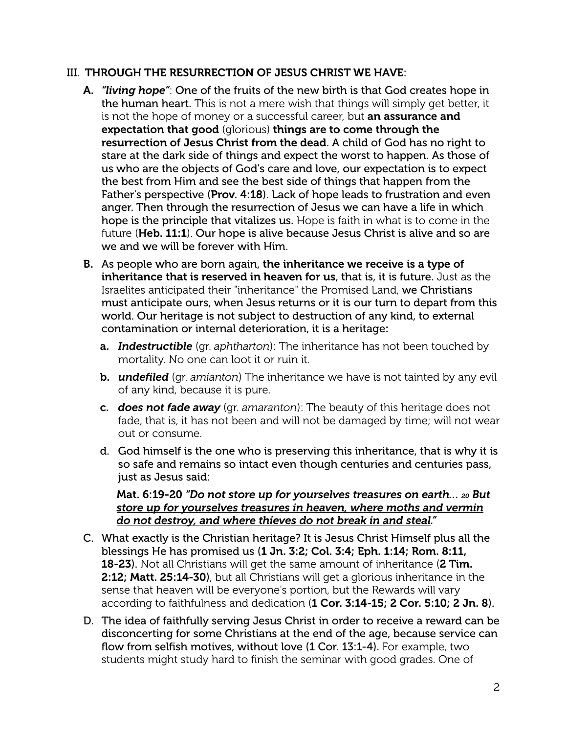#### III. THROUGH THE RESURRECTION OF JESUS CHRIST WE HAVE:

- A. *"living hope"*: One of the fruits of the new birth is that God creates hope in the human heart. This is not a mere wish that things will simply get better, it is not the hope of money or a successful career, but an assurance and expectation that good (glorious) things are to come through the resurrection of Jesus Christ from the dead. A child of God has no right to stare at the dark side of things and expect the worst to happen. As those of us who are the objects of God's care and love, our expectation is to expect the best from Him and see the best side of things that happen from the Father's perspective (Prov. 4:18). Lack of hope leads to frustration and even anger. Then through the resurrection of Jesus we can have a life in which hope is the principle that vitalizes us. Hope is faith in what is to come in the future (Heb. 11:1). Our hope is alive because Jesus Christ is alive and so are we and we will be forever with Him.
- B. As people who are born again, the inheritance we receive is a type of inheritance that is reserved in heaven for us, that is, it is future. Just as the Israelites anticipated their "inheritance" the Promised Land, we Christians must anticipate ours, when Jesus returns or it is our turn to depart from this world. Our heritage is not subject to destruction of any kind, to external contamination or internal deterioration, it is a heritage:
	- a. *Indestructible* (gr. *aphtharton*): The inheritance has not been touched by mortality. No one can loot it or ruin it.
	- b. *undefiled* (gr. *amianton*) The inheritance we have is not tainted by any evil of any kind, because it is pure.
	- c. *does not fade away* (gr. *amaranton*): The beauty of this heritage does not fade, that is, it has not been and will not be damaged by time; will not wear out or consume.
	- d. God himself is the one who is preserving this inheritance, that is why it is so safe and remains so intact even though centuries and centuries pass, just as Jesus said:

#### Mat. 6:19-20 *"Do not store up for yourselves treasures on earth… 20 But store up for yourselves treasures in heaven, where moths and vermin do not destroy, and where thieves do not break in and steal."*

- C. What exactly is the Christian heritage? It is Jesus Christ Himself plus all the blessings He has promised us (1 Jn. 3:2; Col. 3:4; Eph. 1:14; Rom. 8:11, **18-23**). Not all Christians will get the same amount of inheritance (2 Tim. 2:12; Matt. 25:14-30), but all Christians will get a glorious inheritance in the sense that heaven will be everyone's portion, but the Rewards will vary according to faithfulness and dedication (1 Cor. 3:14-15; 2 Cor. 5:10; 2 Jn. 8).
- D. The idea of faithfully serving Jesus Christ in order to receive a reward can be disconcerting for some Christians at the end of the age, because service can flow from selfish motives, without love (1 Cor. 13:1-4). For example, two students might study hard to finish the seminar with good grades. One of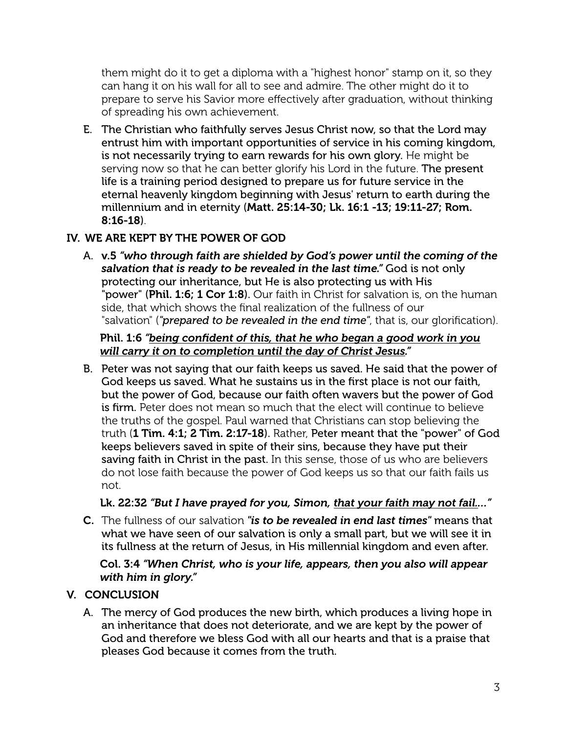them might do it to get a diploma with a "highest honor" stamp on it, so they can hang it on his wall for all to see and admire. The other might do it to prepare to serve his Savior more effectively after graduation, without thinking of spreading his own achievement.

E. The Christian who faithfully serves Jesus Christ now, so that the Lord may entrust him with important opportunities of service in his coming kingdom, is not necessarily trying to earn rewards for his own glory. He might be serving now so that he can better glorify his Lord in the future. The present life is a training period designed to prepare us for future service in the eternal heavenly kingdom beginning with Jesus' return to earth during the millennium and in eternity (Matt. 25:14-30; Lk. 16:1 -13; 19:11-27; Rom. 8:16-18).

# IV. WE ARE KEPT BY THE POWER OF GOD

A. v.5 *"who through faith are shielded by God's power until the coming of the salvation that is ready to be revealed in the last time."* God is not only protecting our inheritance, but He is also protecting us with His "power" (Phil. 1:6; 1 Cor 1:8). Our faith in Christ for salvation is, on the human side, that which shows the final realization of the fullness of our "salvation" (*"prepared to be revealed in the end time"*, that is, our glorification).

### Phil. 1:6 *"being confident of this, that he who began a good work in you will carry it on to completion until the day of Christ Jesus."*

B. Peter was not saying that our faith keeps us saved. He said that the power of God keeps us saved. What he sustains us in the first place is not our faith, but the power of God, because our faith often wavers but the power of God is firm. Peter does not mean so much that the elect will continue to believe the truths of the gospel. Paul warned that Christians can stop believing the truth (1 Tim. 4:1; 2 Tim. 2:17-18). Rather, Peter meant that the "power" of God keeps believers saved in spite of their sins, because they have put their saving faith in Christ in the past. In this sense, those of us who are believers do not lose faith because the power of God keeps us so that our faith fails us not.

#### Lk. 22:32 *"But I have prayed for you, Simon, that your faith may not fail.…"*

C. The fullness of our salvation *"is to be revealed in end last times"* means that what we have seen of our salvation is only a small part, but we will see it in its fullness at the return of Jesus, in His millennial kingdom and even after.

#### Col. 3:4 *"When Christ, who is your life, appears, then you also will appear with him in glory."*

# V. CONCLUSION

A. The mercy of God produces the new birth, which produces a living hope in an inheritance that does not deteriorate, and we are kept by the power of God and therefore we bless God with all our hearts and that is a praise that pleases God because it comes from the truth.